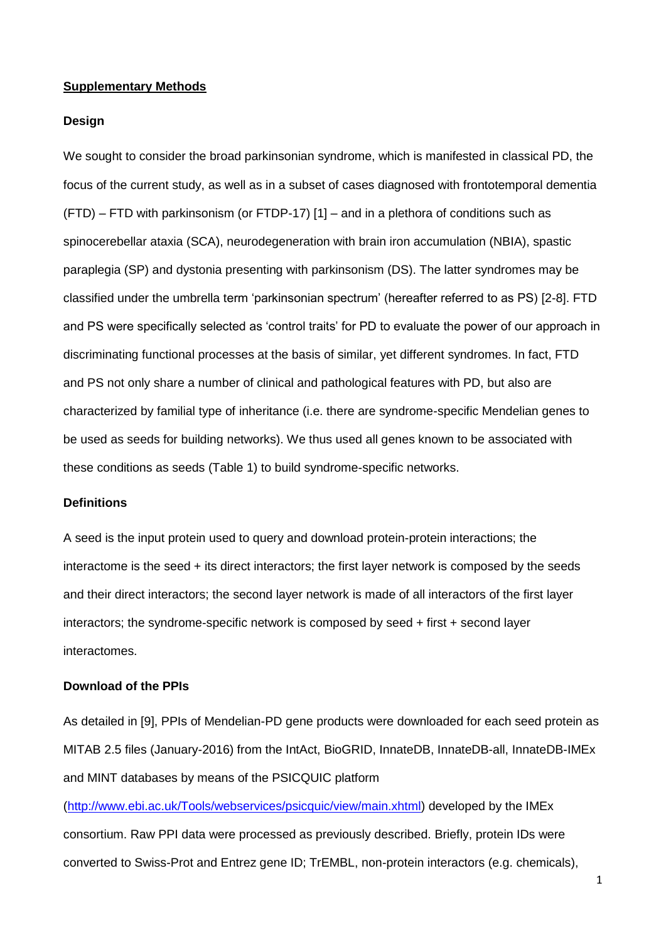## **Supplementary Methods**

#### **Design**

We sought to consider the broad parkinsonian syndrome, which is manifested in classical PD, the focus of the current study, as well as in a subset of cases diagnosed with frontotemporal dementia (FTD) – FTD with parkinsonism (or FTDP-17) [1] – and in a plethora of conditions such as spinocerebellar ataxia (SCA), neurodegeneration with brain iron accumulation (NBIA), spastic paraplegia (SP) and dystonia presenting with parkinsonism (DS). The latter syndromes may be classified under the umbrella term 'parkinsonian spectrum' (hereafter referred to as PS) [2-8]. FTD and PS were specifically selected as 'control traits' for PD to evaluate the power of our approach in discriminating functional processes at the basis of similar, yet different syndromes. In fact, FTD and PS not only share a number of clinical and pathological features with PD, but also are characterized by familial type of inheritance (i.e. there are syndrome-specific Mendelian genes to be used as seeds for building networks). We thus used all genes known to be associated with these conditions as seeds (Table 1) to build syndrome-specific networks.

## **Definitions**

A seed is the input protein used to query and download protein-protein interactions; the interactome is the seed + its direct interactors; the first layer network is composed by the seeds and their direct interactors; the second layer network is made of all interactors of the first layer interactors; the syndrome-specific network is composed by seed + first + second layer interactomes.

## **Download of the PPIs**

As detailed in [9], PPIs of Mendelian-PD gene products were downloaded for each seed protein as MITAB 2.5 files (January-2016) from the IntAct, BioGRID, InnateDB, InnateDB-all, InnateDB-IMEx and MINT databases by means of the PSICQUIC platform

[\(http://www.ebi.ac.uk/Tools/webservices/psicquic/view/main.xhtml\)](http://www.ebi.ac.uk/Tools/webservices/psicquic/view/main.xhtml) developed by the IMEx consortium. Raw PPI data were processed as previously described. Briefly, protein IDs were converted to Swiss-Prot and Entrez gene ID; TrEMBL, non-protein interactors (e.g. chemicals),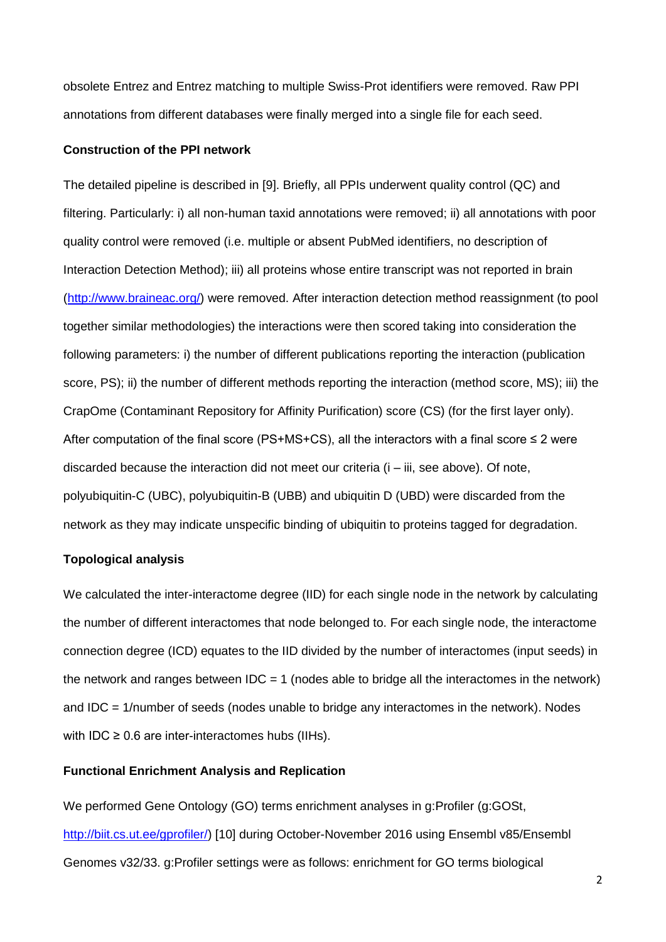obsolete Entrez and Entrez matching to multiple Swiss-Prot identifiers were removed. Raw PPI annotations from different databases were finally merged into a single file for each seed.

## **Construction of the PPI network**

The detailed pipeline is described in [9]. Briefly, all PPIs underwent quality control (QC) and filtering. Particularly: i) all non-human taxid annotations were removed; ii) all annotations with poor quality control were removed (i.e. multiple or absent PubMed identifiers, no description of Interaction Detection Method); iii) all proteins whose entire transcript was not reported in brain [\(http://www.braineac.org/\)](http://www.braineac.org/) were removed. After interaction detection method reassignment (to pool together similar methodologies) the interactions were then scored taking into consideration the following parameters: i) the number of different publications reporting the interaction (publication score, PS); ii) the number of different methods reporting the interaction (method score, MS); iii) the CrapOme (Contaminant Repository for Affinity Purification) score (CS) (for the first layer only). After computation of the final score (PS+MS+CS), all the interactors with a final score  $\leq 2$  were discarded because the interaction did not meet our criteria (i – iii, see above). Of note, polyubiquitin-C (UBC), polyubiquitin-B (UBB) and ubiquitin D (UBD) were discarded from the network as they may indicate unspecific binding of ubiquitin to proteins tagged for degradation.

## **Topological analysis**

We calculated the inter-interactome degree (IID) for each single node in the network by calculating the number of different interactomes that node belonged to. For each single node, the interactome connection degree (ICD) equates to the IID divided by the number of interactomes (input seeds) in the network and ranges between  $IDC = 1$  (nodes able to bridge all the interactomes in the network) and IDC = 1/number of seeds (nodes unable to bridge any interactomes in the network). Nodes with IDC  $\geq$  0.6 are inter-interactomes hubs (IIHs).

## **Functional Enrichment Analysis and Replication**

We performed Gene Ontology (GO) terms enrichment analyses in g:Profiler (g:GOSt, [http://biit.cs.ut.ee/gprofiler/\)](http://biit.cs.ut.ee/gprofiler/) [10] during October-November 2016 using Ensembl v85/Ensembl Genomes v32/33. g:Profiler settings were as follows: enrichment for GO terms biological

2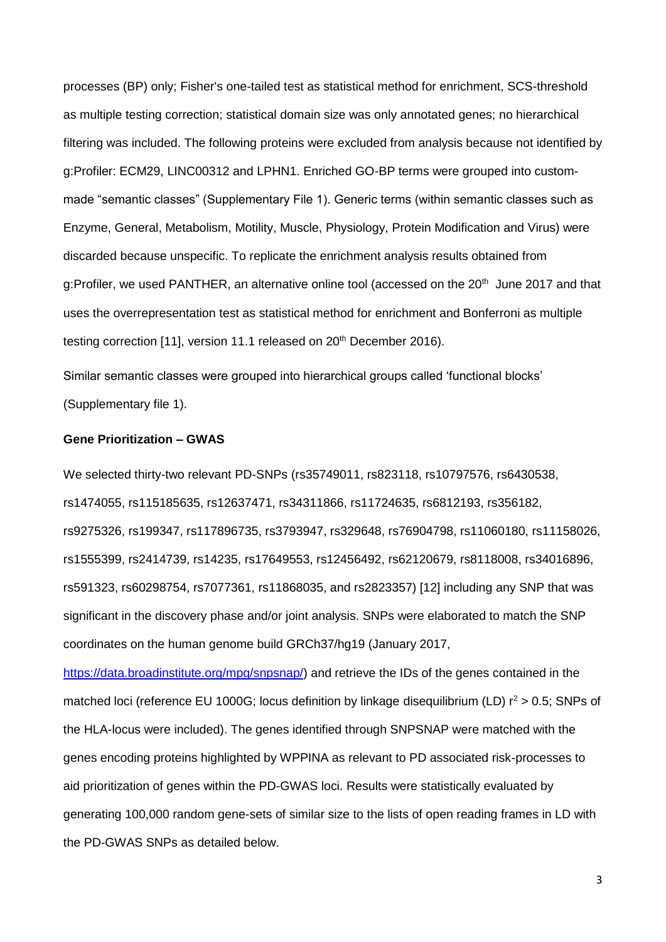processes (BP) only; Fisher's one-tailed test as statistical method for enrichment, SCS-threshold as multiple testing correction; statistical domain size was only annotated genes; no hierarchical filtering was included. The following proteins were excluded from analysis because not identified by g:Profiler: ECM29, LINC00312 and LPHN1. Enriched GO-BP terms were grouped into custommade "semantic classes" (Supplementary File 1). Generic terms (within semantic classes such as Enzyme, General, Metabolism, Motility, Muscle, Physiology, Protein Modification and Virus) were discarded because unspecific. To replicate the enrichment analysis results obtained from g:Profiler, we used PANTHER, an alternative online tool (accessed on the 20<sup>th</sup> June 2017 and that uses the overrepresentation test as statistical method for enrichment and Bonferroni as multiple testing correction [11], version 11.1 released on 20<sup>th</sup> December 2016).

Similar semantic classes were grouped into hierarchical groups called 'functional blocks' (Supplementary file 1).

## **Gene Prioritization – GWAS**

We selected thirty-two relevant PD-SNPs (rs35749011, rs823118, rs10797576, rs6430538, rs1474055, rs115185635, rs12637471, rs34311866, rs11724635, rs6812193, rs356182, rs9275326, rs199347, rs117896735, rs3793947, rs329648, rs76904798, rs11060180, rs11158026, rs1555399, rs2414739, rs14235, rs17649553, rs12456492, rs62120679, rs8118008, rs34016896, rs591323, rs60298754, rs7077361, rs11868035, and rs2823357) [12] including any SNP that was significant in the discovery phase and/or joint analysis. SNPs were elaborated to match the SNP coordinates on the human genome build GRCh37/hg19 (January 2017,

[https://data.broadinstitute.org/mpg/snpsnap/\)](https://data.broadinstitute.org/mpg/snpsnap/) and retrieve the IDs of the genes contained in the matched loci (reference EU 1000G; locus definition by linkage disequilibrium (LD)  $r^2 > 0.5$ ; SNPs of the HLA-locus were included). The genes identified through SNPSNAP were matched with the genes encoding proteins highlighted by WPPINA as relevant to PD associated risk-processes to aid prioritization of genes within the PD-GWAS loci. Results were statistically evaluated by generating 100,000 random gene-sets of similar size to the lists of open reading frames in LD with the PD-GWAS SNPs as detailed below.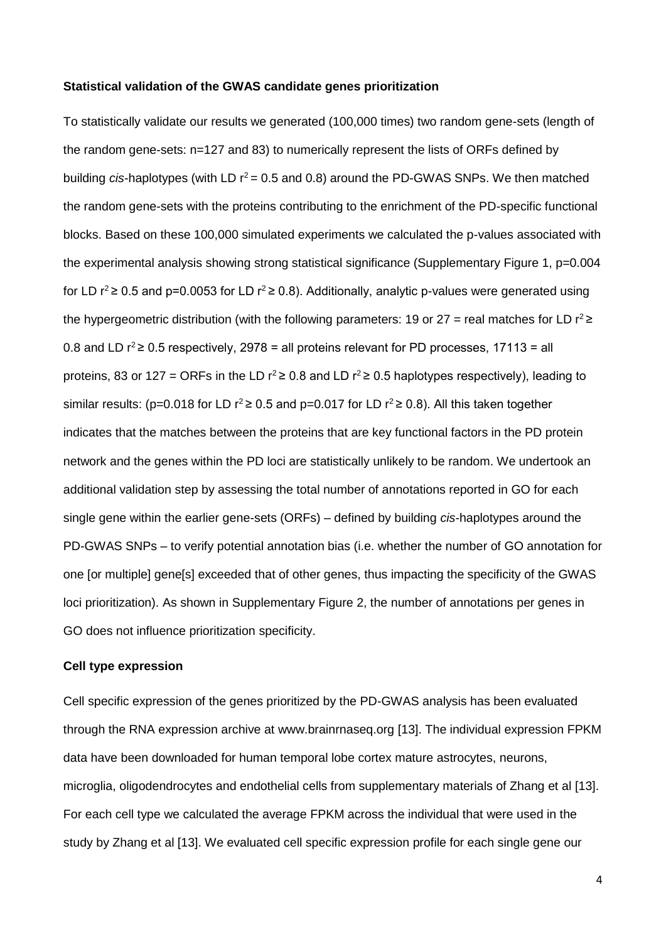## **Statistical validation of the GWAS candidate genes prioritization**

To statistically validate our results we generated (100,000 times) two random gene-sets (length of the random gene-sets: n=127 and 83) to numerically represent the lists of ORFs defined by building *cis*-haplotypes (with LD  $r^2$  = 0.5 and 0.8) around the PD-GWAS SNPs. We then matched the random gene-sets with the proteins contributing to the enrichment of the PD-specific functional blocks. Based on these 100,000 simulated experiments we calculated the p-values associated with the experimental analysis showing strong statistical significance (Supplementary Figure 1, p=0.004 for LD  $r^2$  ≥ 0.5 and p=0.0053 for LD  $r^2$  ≥ 0.8). Additionally, analytic p-values were generated using the hypergeometric distribution (with the following parameters: 19 or 27 = real matches for LD  $r^2 \ge$ 0.8 and LD  $r^2$  ≥ 0.5 respectively, 2978 = all proteins relevant for PD processes, 17113 = all proteins, 83 or 127 = ORFs in the LD  $r^2$ ≥ 0.8 and LD  $r^2$ ≥ 0.5 haplotypes respectively), leading to similar results: (p=0.018 for LD  $r^2$ ≥ 0.5 and p=0.017 for LD  $r^2$ ≥ 0.8). All this taken together indicates that the matches between the proteins that are key functional factors in the PD protein network and the genes within the PD loci are statistically unlikely to be random. We undertook an additional validation step by assessing the total number of annotations reported in GO for each single gene within the earlier gene-sets (ORFs) – defined by building *cis*-haplotypes around the PD-GWAS SNPs – to verify potential annotation bias (i.e. whether the number of GO annotation for one [or multiple] gene[s] exceeded that of other genes, thus impacting the specificity of the GWAS loci prioritization). As shown in Supplementary Figure 2, the number of annotations per genes in GO does not influence prioritization specificity.

## **Cell type expression**

Cell specific expression of the genes prioritized by the PD-GWAS analysis has been evaluated through the RNA expression archive at www.brainrnaseq.org [13]. The individual expression FPKM data have been downloaded for human temporal lobe cortex mature astrocytes, neurons, microglia, oligodendrocytes and endothelial cells from supplementary materials of Zhang et al [13]. For each cell type we calculated the average FPKM across the individual that were used in the study by Zhang et al [13]. We evaluated cell specific expression profile for each single gene our

4